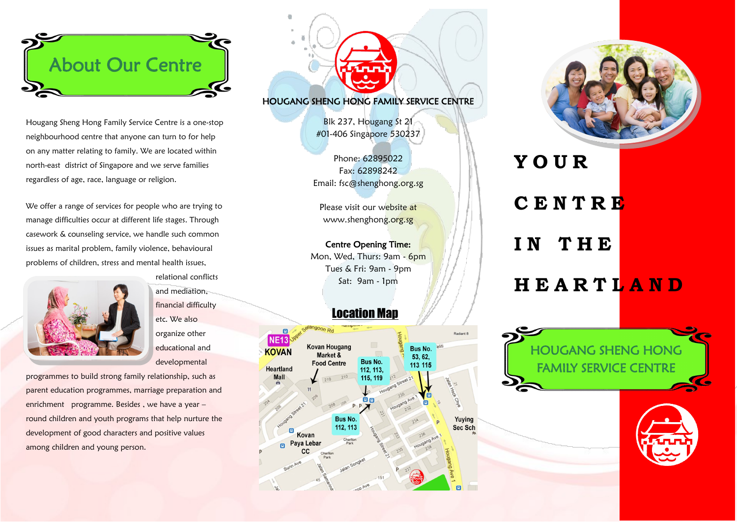

Hougang Sheng Hong Family Service Centre is a one-stop neighbourhood centre that anyone can turn to for help on any matter relating to family. We are located within north-east district of Singapore and we serve families regardless of age, race, language or religion.

We offer a range of services for people who are trying to manage difficulties occur at different life stages. Through casework & counseling service, we handle such common issues as marital problem, family violence, behavioural problems of children, stress and mental health issues,



relational conflicts and mediation, financial difficulty etc. We also organize other educational and developmental

programmes to build strong family relationship, such as parent education programmes, marriage preparation and enrichment programme. Besides , we have a year – round children and youth programs that help nurture the development of good characters and positive values among children and young person.

#### HOUGANG SHENG HONG FAMILY SERVICE CENTRE

Blk 237, Hougang St 21 #01-406 Singapore 530237

Phone: 62895022 Fax: 62898242 Email: fsc@shenghong.org.sg

Please visit our website at www.shenghong.org.sg

Centre Opening Time: Mon, Wed, Thurs: 9am - 6pm Tues & Fri: 9am - 9pm Sat: 9am - 1pm

# Location Map



**Y O U R C E N T R E I N T H E**

# **H E A R T L A N D**